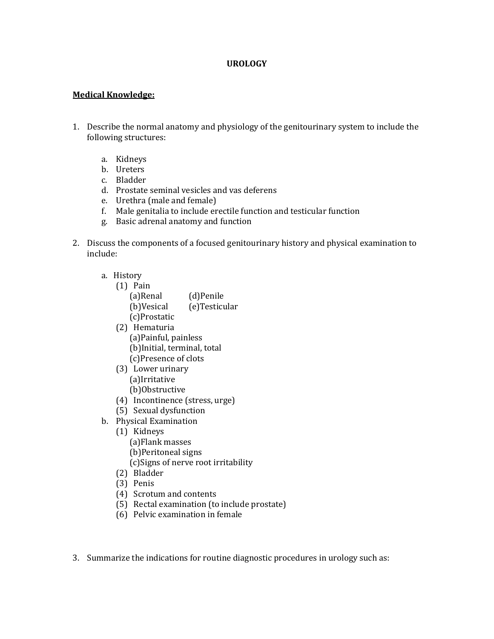### **UROLOGY**

## **Medical Knowledge:**

- 1. Describe the normal anatomy and physiology of the genitourinary system to include the following structures:
	- a. Kidneys
	- b. Ureters
	- c. Bladder
	- d. Prostate seminal vesicles and vas deferens
	- e. Urethra (male and female)
	- f. Male genitalia to include erectile function and testicular function
	- g. Basic adrenal anatomy and function
- 2. Discuss the components of a focused genitourinary history and physical examination to include:
	- a. History
		- (1) Pain
			- (a)Renal (d)Penile (b)Vesical (e)Testicular
			- (c)Prostatic
		- (2) Hematuria (a)Painful, painless (b)Initial, terminal, total (c)Presence of clots
		- (3) Lower urinary (a)Irritative (b)Obstructive
		- (4) Incontinence (stress, urge)
	- (5) Sexual dysfunction
	- b. Physical Examination
		- (1) Kidneys
			- (a)Flank masses
			- (b)Peritoneal signs
			- (c)Signs of nerve root irritability
		- (2) Bladder
		- (3) Penis
		- (4) Scrotum and contents
		- (5) Rectal examination (to include prostate)
		- (6) Pelvic examination in female
- 3. Summarize the indications for routine diagnostic procedures in urology such as: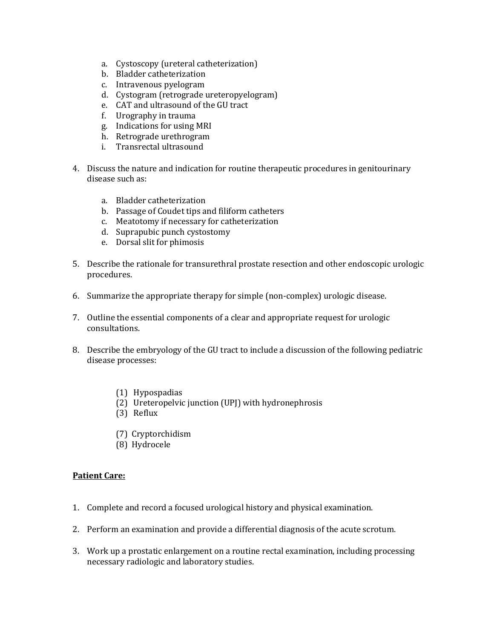- a. Cystoscopy (ureteral catheterization)
- b. Bladder catheterization
- c. Intravenous pyelogram
- d. Cystogram (retrograde ureteropyelogram)
- e. CAT and ultrasound of the GU tract
- f. Urography in trauma
- g. Indications for using MRI
- h. Retrograde urethrogram
- i. Transrectal ultrasound
- 4. Discuss the nature and indication for routine therapeutic procedures in genitourinary disease such as:
	- a. Bladder catheterization
	- b. Passage of Coudet tips and filiform catheters
	- c. Meatotomy if necessary for catheterization
	- d. Suprapubic punch cystostomy
	- e. Dorsal slit for phimosis
- 5. Describe the rationale for transurethral prostate resection and other endoscopic urologic procedures.
- 6. Summarize the appropriate therapy for simple (non-complex) urologic disease.
- 7. Outline the essential components of a clear and appropriate request for urologic consultations.
- 8. Describe the embryology of the GU tract to include a discussion of the following pediatric disease processes:
	- (1) Hypospadias
	- (2) Ureteropelvic junction (UPJ) with hydronephrosis
	- (3) Reflux
	- (7) Cryptorchidism
	- (8) Hydrocele

## **Patient Care:**

- 1. Complete and record a focused urological history and physical examination.
- 2. Perform an examination and provide a differential diagnosis of the acute scrotum.
- 3. Work up a prostatic enlargement on a routine rectal examination, including processing necessary radiologic and laboratory studies.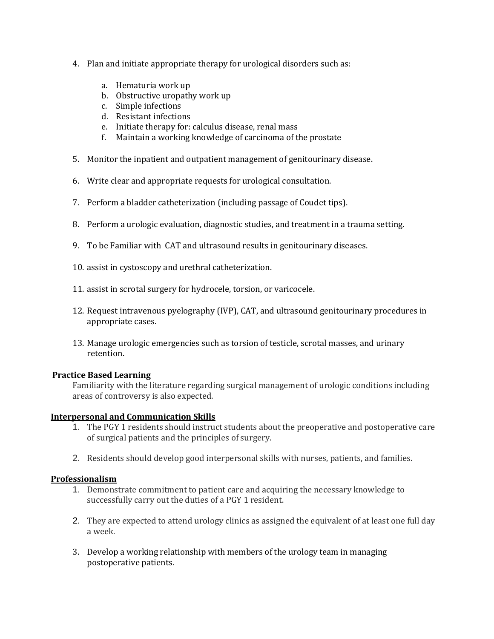- 4. Plan and initiate appropriate therapy for urological disorders such as:
	- a. Hematuria work up
	- b. Obstructive uropathy work up
	- c. Simple infections
	- d. Resistant infections
	- e. Initiate therapy for: calculus disease, renal mass
	- f. Maintain a working knowledge of carcinoma of the prostate
- 5. Monitor the inpatient and outpatient management of genitourinary disease.
- 6. Write clear and appropriate requests for urological consultation.
- 7. Perform a bladder catheterization (including passage of Coudet tips).
- 8. Perform a urologic evaluation, diagnostic studies, and treatment in a trauma setting.
- 9. To be Familiar with CAT and ultrasound results in genitourinary diseases.
- 10. assist in cystoscopy and urethral catheterization.
- 11. assist in scrotal surgery for hydrocele, torsion, or varicocele.
- 12. Request intravenous pyelography (IVP), CAT, and ultrasound genitourinary procedures in appropriate cases.
- 13. Manage urologic emergencies such as torsion of testicle, scrotal masses, and urinary retention.

## **Practice Based Learning**

Familiarity with the literature regarding surgical management of urologic conditions including areas of controversy is also expected.

## **Interpersonal and Communication Skills**

- 1. The PGY 1 residents should instruct students about the preoperative and postoperative care of surgical patients and the principles of surgery.
- 2. Residents should develop good interpersonal skills with nurses, patients, and families.

## **Professionalism**

- 1. Demonstrate commitment to patient care and acquiring the necessary knowledge to successfully carry out the duties of a PGY 1 resident.
- 2. They are expected to attend urology clinics as assigned the equivalent of at least one full day a week.
- 3. Develop a working relationship with members of the urology team in managing postoperative patients.